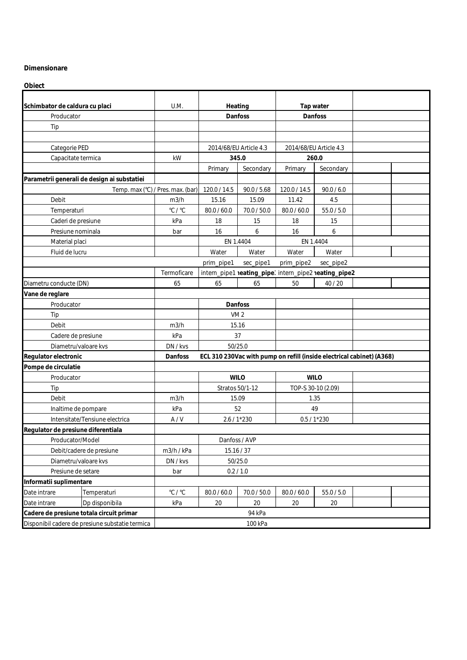## **Dimensionare**

**Obiect**

| Schimbator de caldura cu placi                  |                                             | U.M.                                                                             | Heating         |                        | Tap water          |                                                       |  |  |
|-------------------------------------------------|---------------------------------------------|----------------------------------------------------------------------------------|-----------------|------------------------|--------------------|-------------------------------------------------------|--|--|
| Producator                                      |                                             |                                                                                  | Danfoss         |                        | Danfoss            |                                                       |  |  |
| Tip                                             |                                             |                                                                                  |                 |                        |                    |                                                       |  |  |
|                                                 |                                             |                                                                                  |                 |                        |                    |                                                       |  |  |
| Categorie PED                                   |                                             |                                                                                  |                 | 2014/68/EU Article 4.3 |                    | 2014/68/EU Article 4.3                                |  |  |
| Capacitate termica                              |                                             | kW                                                                               | 345.0           |                        | 260.0              |                                                       |  |  |
|                                                 |                                             |                                                                                  | Primary         | Secondary              | Primary            | Secondary                                             |  |  |
|                                                 | Parametrii generali de design ai substatiei |                                                                                  |                 |                        |                    |                                                       |  |  |
|                                                 | Temp. max (°C) / Pres. max. (bar)           |                                                                                  | 120.0 / 14.5    | 90.0 / 5.68            | 120.0 / 14.5       | 90.0 / 6.0                                            |  |  |
| Debit                                           |                                             | m3/h                                                                             | 15.16           | 15.09                  | 11.42              | 4.5                                                   |  |  |
| Temperaturi                                     |                                             | $^{\circ}$ C / $^{\circ}$ C                                                      | 80.0 / 60.0     | 70.0 / 50.0            | 80.0 / 60.0        | 55.0 / 5.0                                            |  |  |
| Caderi de presiune                              |                                             | kPa                                                                              | 18              | 15                     | 18                 | 15                                                    |  |  |
| Presiune nominala                               |                                             | bar                                                                              | 16              | 6                      | 16                 | 6                                                     |  |  |
| Material placi                                  |                                             |                                                                                  | EN 1.4404       |                        | EN 1.4404          |                                                       |  |  |
| Fluid de lucru                                  |                                             |                                                                                  | Water           | Water                  | Water              | Water                                                 |  |  |
|                                                 |                                             |                                                                                  | prim_pipe1      | sec_pipe1              | prim_pipe2         | sec_pipe2                                             |  |  |
|                                                 |                                             | Termoficare                                                                      |                 |                        |                    | intern_pipe1 neating_pipe' intern_pipe2 neating_pipe2 |  |  |
| Diametru conducte (DN)                          |                                             | 65                                                                               | 65              | 65                     | 50                 | 40/20                                                 |  |  |
| Vane de reglare                                 |                                             |                                                                                  |                 |                        |                    |                                                       |  |  |
| Producator                                      |                                             |                                                                                  |                 | Danfoss                |                    |                                                       |  |  |
| Tip                                             |                                             |                                                                                  | VM <sub>2</sub> |                        |                    |                                                       |  |  |
| Debit                                           |                                             | m3/h                                                                             | 15.16           |                        |                    |                                                       |  |  |
| Cadere de presiune                              |                                             | kPa                                                                              | 37              |                        |                    |                                                       |  |  |
| Diametru/valoare kvs                            |                                             | DN / kvs                                                                         | 50/25.0         |                        |                    |                                                       |  |  |
| Regulator electronic                            |                                             | Danfoss<br>ECL 310 230Vac with pump on refill (inside electrical cabinet) (A368) |                 |                        |                    |                                                       |  |  |
| Pompe de circulatie                             |                                             |                                                                                  |                 |                        |                    |                                                       |  |  |
| Producator                                      |                                             |                                                                                  | <b>WILO</b>     |                        | <b>WILO</b>        |                                                       |  |  |
| Tip                                             |                                             |                                                                                  | Stratos 50/1-12 |                        | TOP-S 30-10 (2.09) |                                                       |  |  |
| Debit                                           |                                             | m3/h                                                                             | 15.09           |                        | 1.35               |                                                       |  |  |
| Inaltime de pompare                             |                                             | kPa                                                                              | 52              |                        | 49                 |                                                       |  |  |
| Intensitate/Tensiune electrica                  |                                             | A/V                                                                              | 2.6 / 1*230     |                        | $0.5 / 1*230$      |                                                       |  |  |
| Regulator de presiune diferentiala              |                                             |                                                                                  |                 |                        |                    |                                                       |  |  |
| Producator/Model                                |                                             | Danfoss / AVP                                                                    |                 |                        |                    |                                                       |  |  |
| Debit/cadere de presiune                        |                                             | m3/h / kPa                                                                       | 15.16/37        |                        |                    |                                                       |  |  |
| Diametru/valoare kvs                            |                                             | DN / kvs                                                                         | 50/25.0         |                        |                    |                                                       |  |  |
| Presiune de setare                              |                                             | bar                                                                              | 0.2 / 1.0       |                        |                    |                                                       |  |  |
| Informatii suplimentare                         |                                             |                                                                                  |                 |                        |                    |                                                       |  |  |
| Date intrare                                    | Temperaturi                                 | $^{\circ}$ C / $^{\circ}$ C                                                      | 80.0 / 60.0     | 70.0 / 50.0            | 80.0 / 60.0        | 55.0 / 5.0                                            |  |  |
| Date intrare                                    | Dp disponibila                              | kPa                                                                              | 20              | 20                     | 20                 | 20                                                    |  |  |
| Cadere de presiune totala circuit primar        |                                             | 94 kPa                                                                           |                 |                        |                    |                                                       |  |  |
| Disponibil cadere de presiune substatie termica |                                             | 100 kPa                                                                          |                 |                        |                    |                                                       |  |  |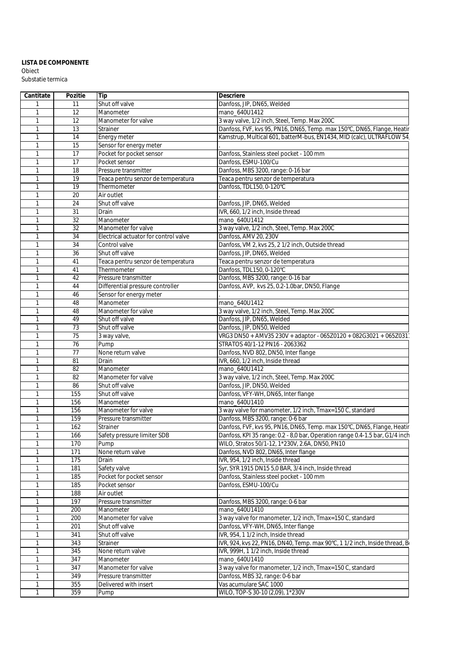## Obiect Substatie termica **LISTA DE COMPONENTE**

| Cantitate    | Pozitie | Tip                                   | Descriere                                                                    |
|--------------|---------|---------------------------------------|------------------------------------------------------------------------------|
|              | 11      | Shut off valve                        | Danfoss, JIP, DN65, Welded                                                   |
| -1           | 12      | Manometer                             | mano 640U1412                                                                |
| -1           | 12      | Manometer for valve                   | 3 way valve, 1/2 inch, Steel, Temp. Max 200C                                 |
| $\mathbf{1}$ | 13      | Strainer                              | Danfoss, FVF, kvs 95, PN16, DN65, Temp. max 150°C, DN65, Flange, Heatir      |
|              | 14      | Energy meter                          | Kamstrup, Multical 601, batterM-bus, EN1434, MID (calc), ULTRAFLOW 54,       |
|              | 15      | Sensor for energy meter               |                                                                              |
|              | 17      | Pocket for pocket sensor              | Danfoss, Stainless steel pocket - 100 mm                                     |
|              | 17      | Pocket sensor                         | Danfoss, ESMU-100/Cu                                                         |
|              | 18      | Pressure transmitter                  | Danfoss, MBS 3200, range: 0-16 bar                                           |
|              | 19      | Teaca pentru senzor de temperatura    | Teaca pentru senzor de temperatura                                           |
|              | 19      | Thermometer                           | Danfoss, TDL150, 0-120°C                                                     |
|              | 20      | Air outlet                            |                                                                              |
| 1            | 24      | Shut off valve                        | Danfoss, JIP, DN65, Welded                                                   |
| 1            | 31      | Drain                                 | IVR, 660, 1/2 inch, Inside thread                                            |
|              | 32      | Manometer                             | mano_640U1412                                                                |
| $\mathbf{1}$ | 32      | Manometer for valve                   | 3 way valve, 1/2 inch, Steel, Temp. Max 200C                                 |
|              | 34      | Electrical actuator for control valve | Danfoss, AMV 20, 230V                                                        |
| -1           | 34      | Control valve                         | Danfoss, VM 2, kvs 25, 2 1/2 inch, Outside thread                            |
|              | 36      | Shut off valve                        | Danfoss, JIP, DN65, Welded                                                   |
|              | 41      | Teaca pentru senzor de temperatura    | Teaca pentru senzor de temperatura                                           |
| $\mathbf{1}$ | 41      | Thermometer                           | Danfoss, TDL150, 0-120°C                                                     |
|              | 42      | Pressure transmitter                  | Danfoss, MBS 3200, range: 0-16 bar                                           |
|              | 44      | Differential pressure controller      | Danfoss, AVP, kvs 25, 0.2-1.0bar, DN50, Flange                               |
|              | 46      | Sensor for energy meter               |                                                                              |
|              | 48      | Manometer                             | mano_640U1412                                                                |
| $\mathbf{1}$ | 48      | Manometer for valve                   | 3 way valve, 1/2 inch, Steel, Temp. Max 200C                                 |
|              | 49      | Shut off valve                        | Danfoss, JIP, DN65, Welded                                                   |
|              | 73      | Shut off valve                        | Danfoss, JIP, DN50, Welded                                                   |
|              | 75      | 3 way valve,                          | VRG3 DN50 + AMV35 230V + adaptor - 065Z0120 + 082G3021 + 065Z031             |
|              | 76      | Pump                                  | STRATOS 40/1-12 PN16 - 2063362                                               |
|              | 77      | None return valve                     | Danfoss, NVD 802, DN50, Inter flange                                         |
|              | 81      | Drain                                 | IVR, 660, 1/2 inch, Inside thread                                            |
|              | 82      | Manometer                             | mano_640U1412                                                                |
|              | 82      | Manometer for valve                   | 3 way valve, 1/2 inch, Steel, Temp. Max 200C                                 |
|              | 86      | Shut off valve                        | Danfoss, JIP, DN50, Welded                                                   |
| -1           | 155     | Shut off valve                        | Danfoss, VFY-WH, DN65, Inter flange                                          |
| $\mathbf{1}$ | 156     | Manometer                             | mano_640U1410                                                                |
| 1            | 156     | Manometer for valve                   | 3 way valve for manometer, 1/2 inch, Tmax=150 C, standard                    |
|              | 159     | Pressure transmitter                  | Danfoss, MBS 3200, range: 0-6 bar                                            |
|              | 162     | Strainer                              | Danfoss, FVF, kvs 95, PN16, DN65, Temp. max 150°C, DN65, Flange, Heatir      |
|              | 166     | Safety pressure limiter SDB           | Danfoss, KPI 35 range: 0.2 - 8,0 bar, Operation range 0.4-1.5 bar, G1/4 inch |
| $\mathbf{1}$ | 170     | Pump                                  | WILO, Stratos 50/1-12, 1*230V, 2.6A, DN50, PN10                              |
| 1            | 171     | None return valve                     | Danfoss, NVD 802, DN65, Inter flange                                         |
|              | 175     | Drain                                 | IVR, 954, 1/2 inch, Inside thread                                            |
|              | 181     | Safety valve                          | Syr, SYR 1915 DN15 5,0 BAR, 3/4 inch, Inside thread                          |
|              | 185     | Pocket for pocket sensor              | Danfoss, Stainless steel pocket - 100 mm                                     |
|              | 185     | Pocket sensor                         | Danfoss, ESMU-100/Cu                                                         |
|              | 188     | Air outlet                            |                                                                              |
|              | 197     | Pressure transmitter                  | Danfoss, MBS 3200, range: 0-6 bar                                            |
|              | 200     | Manometer                             | mano_640U1410                                                                |
|              | 200     | Manometer for valve                   | 3 way valve for manometer, 1/2 inch, Tmax=150 C, standard                    |
|              | 201     | Shut off valve                        | Danfoss, VFY-WH, DN65, Inter flange                                          |
|              | 341     | Shut off valve                        | IVR, 954, 1 1/2 inch, Inside thread                                          |
|              | 343     | <b>Strainer</b>                       | IVR, 924, kvs 22, PN16, DN40, Temp. max 90°C, 1 1/2 inch, Inside thread, Bo  |
|              | 345     | None return valve                     | IVR, 999H, 1 1/2 inch, Inside thread                                         |
|              | 347     | Manometer                             | mano 640U1410                                                                |
|              | 347     | Manometer for valve                   | 3 way valve for manometer, 1/2 inch, Tmax=150 C, standard                    |
|              | 349     | Pressure transmitter                  | Danfoss, MBS 32, range: 0-6 bar                                              |
|              | 355     | Delivered with insert                 | Vas acumulare SAC 1000                                                       |
|              | 359     | Pump                                  | WILO, TOP-S 30-10 (2,09), 1*230V                                             |
|              |         |                                       |                                                                              |